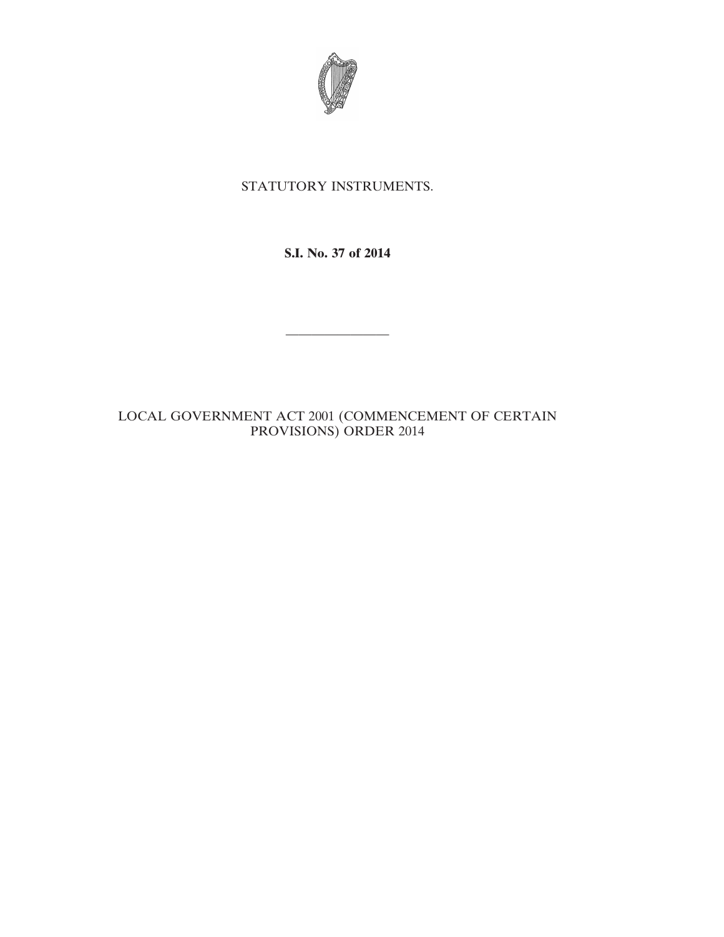

## STATUTORY INSTRUMENTS.

**S.I. No. 37 of 2014**

————————

LOCAL GOVERNMENT ACT 2001 (COMMENCEMENT OF CERTAIN PROVISIONS) ORDER 2014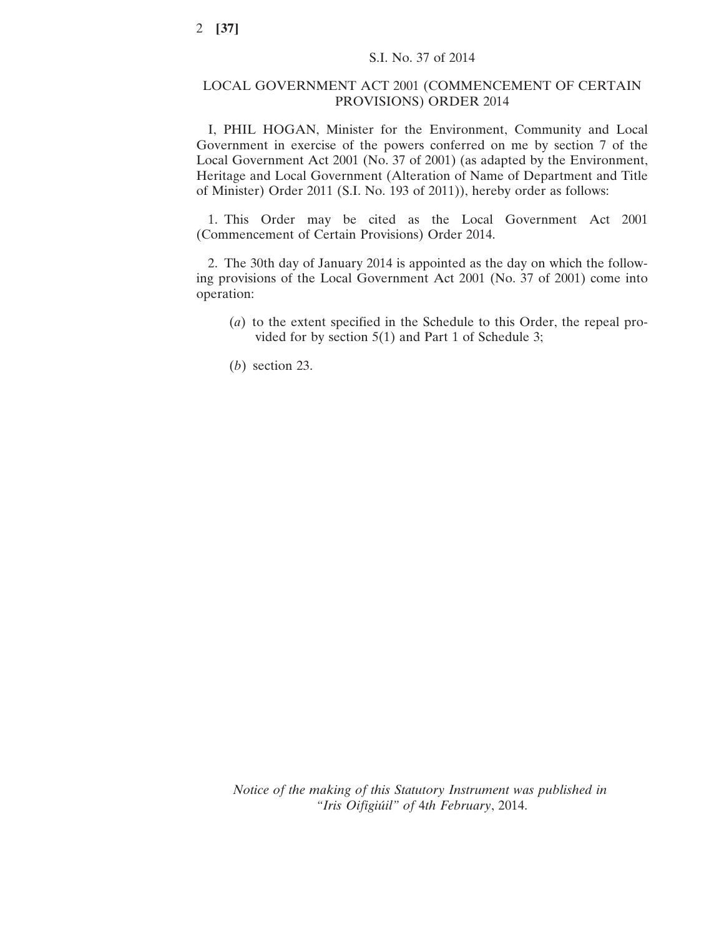## LOCAL GOVERNMENT ACT 2001 (COMMENCEMENT OF CERTAIN PROVISIONS) ORDER 2014

I, PHIL HOGAN, Minister for the Environment, Community and Local Government in exercise of the powers conferred on me by section 7 of the Local Government Act 2001 (No. 37 of 2001) (as adapted by the Environment, Heritage and Local Government (Alteration of Name of Department and Title of Minister) Order 2011 (S.I. No. 193 of 2011)), hereby order as follows:

1. This Order may be cited as the Local Government Act 2001 (Commencement of Certain Provisions) Order 2014.

2. The 30th day of January 2014 is appointed as the day on which the following provisions of the Local Government Act 2001 (No. 37 of 2001) come into operation:

- (*a*) to the extent specified in the Schedule to this Order, the repeal provided for by section 5(1) and Part 1 of Schedule 3;
- (*b*) section 23.

*Notice of the making of this Statutory Instrument was published in "Iris Oifigiúil" of* 4*th February*, 2014.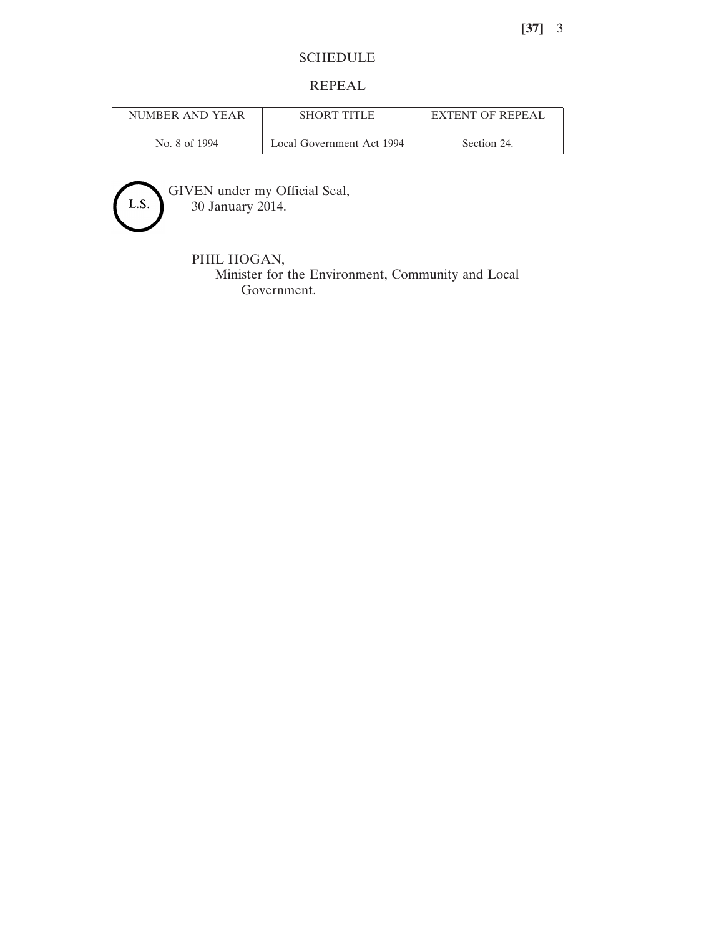## SCHEDULE

## REPEAL

| NUMBER AND YEAR | <b>SHORT TITLE</b>        | <b>EXTENT OF REPEAL</b> |
|-----------------|---------------------------|-------------------------|
| No. 8 of 1994   | Local Government Act 1994 | Section 24.             |



GIVEN under my Official Seal, 30 January 2014.

PHIL HOGAN,

Minister for the Environment, Community and Local Government.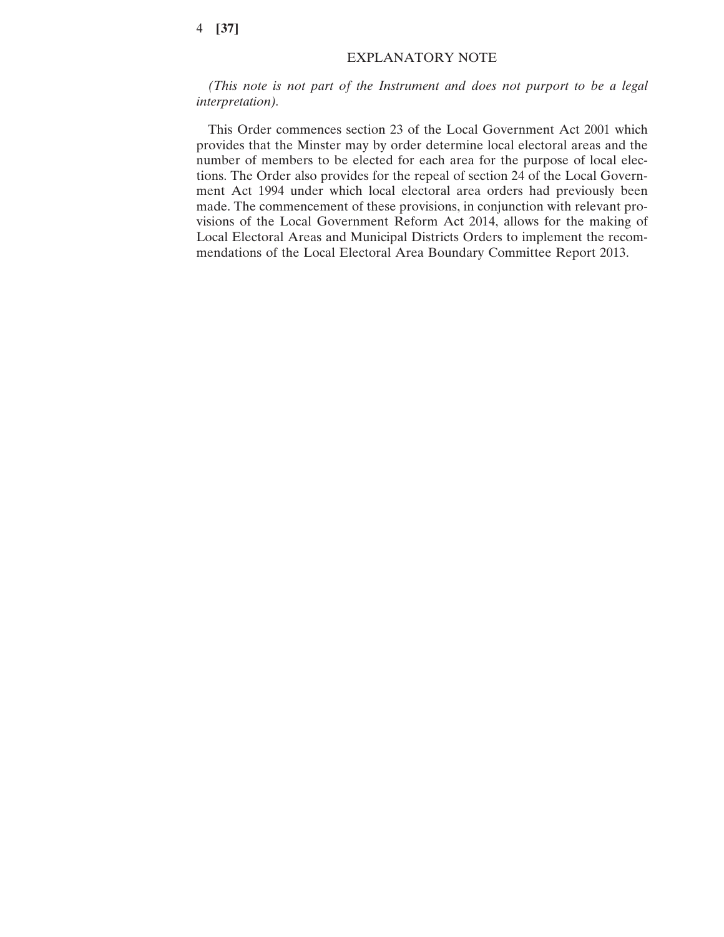*(This note is not part of the Instrument and does not purport to be a legal interpretation).*

This Order commences section 23 of the Local Government Act 2001 which provides that the Minster may by order determine local electoral areas and the number of members to be elected for each area for the purpose of local elections. The Order also provides for the repeal of section 24 of the Local Government Act 1994 under which local electoral area orders had previously been made. The commencement of these provisions, in conjunction with relevant provisions of the Local Government Reform Act 2014, allows for the making of Local Electoral Areas and Municipal Districts Orders to implement the recommendations of the Local Electoral Area Boundary Committee Report 2013.